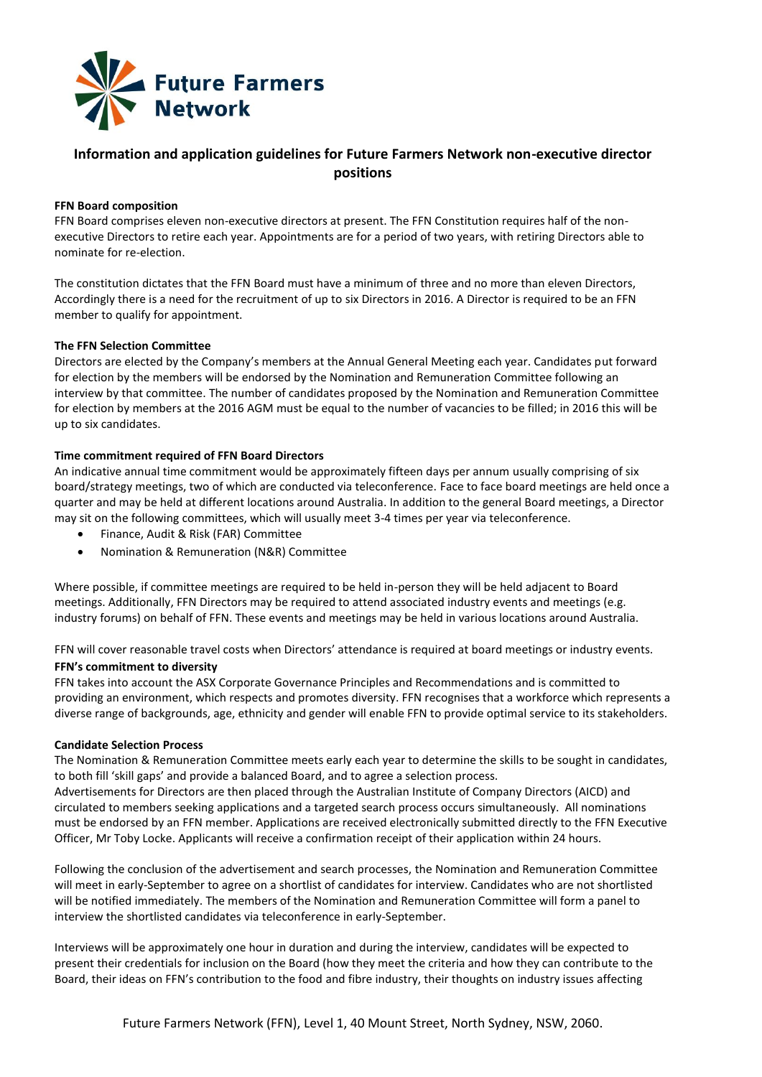

# **Information and application guidelines for Future Farmers Network non-executive director positions**

## **FFN Board composition**

FFN Board comprises eleven non-executive directors at present. The FFN Constitution requires half of the nonexecutive Directors to retire each year. Appointments are for a period of two years, with retiring Directors able to nominate for re-election.

The constitution dictates that the FFN Board must have a minimum of three and no more than eleven Directors, Accordingly there is a need for the recruitment of up to six Directors in 2016. A Director is required to be an FFN member to qualify for appointment.

## **The FFN Selection Committee**

Directors are elected by the Company's members at the Annual General Meeting each year. Candidates put forward for election by the members will be endorsed by the Nomination and Remuneration Committee following an interview by that committee. The number of candidates proposed by the Nomination and Remuneration Committee for election by members at the 2016 AGM must be equal to the number of vacancies to be filled; in 2016 this will be up to six candidates.

## **Time commitment required of FFN Board Directors**

An indicative annual time commitment would be approximately fifteen days per annum usually comprising of six board/strategy meetings, two of which are conducted via teleconference. Face to face board meetings are held once a quarter and may be held at different locations around Australia. In addition to the general Board meetings, a Director may sit on the following committees, which will usually meet 3-4 times per year via teleconference.

- Finance, Audit & Risk (FAR) Committee
- Nomination & Remuneration (N&R) Committee

Where possible, if committee meetings are required to be held in-person they will be held adjacent to Board meetings. Additionally, FFN Directors may be required to attend associated industry events and meetings (e.g. industry forums) on behalf of FFN. These events and meetings may be held in various locations around Australia.

FFN will cover reasonable travel costs when Directors' attendance is required at board meetings or industry events. **FFN's commitment to diversity** 

FFN takes into account the ASX Corporate Governance Principles and Recommendations and is committed to providing an environment, which respects and promotes diversity. FFN recognises that a workforce which represents a diverse range of backgrounds, age, ethnicity and gender will enable FFN to provide optimal service to its stakeholders.

## **Candidate Selection Process**

The Nomination & Remuneration Committee meets early each year to determine the skills to be sought in candidates, to both fill 'skill gaps' and provide a balanced Board, and to agree a selection process.

Advertisements for Directors are then placed through the Australian Institute of Company Directors (AICD) and circulated to members seeking applications and a targeted search process occurs simultaneously. All nominations must be endorsed by an FFN member. Applications are received electronically submitted directly to the FFN Executive Officer, Mr Toby Locke. Applicants will receive a confirmation receipt of their application within 24 hours.

Following the conclusion of the advertisement and search processes, the Nomination and Remuneration Committee will meet in early-September to agree on a shortlist of candidates for interview. Candidates who are not shortlisted will be notified immediately. The members of the Nomination and Remuneration Committee will form a panel to interview the shortlisted candidates via teleconference in early-September.

Interviews will be approximately one hour in duration and during the interview, candidates will be expected to present their credentials for inclusion on the Board (how they meet the criteria and how they can contribute to the Board, their ideas on FFN's contribution to the food and fibre industry, their thoughts on industry issues affecting